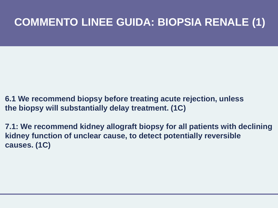### **COMMENTO LINEE GUIDA: BIOPSIA RENALE (1)**

- **6.1 We recommend biopsy before treating acute rejection, unless the biopsy will substantially delay treatment. (1C)**
- **7.1: We recommend kidney allograft biopsy for all patients with declining kidney function of unclear cause, to detect potentially reversible causes. (1C)**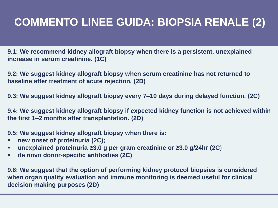# **COMMENTO LINEE GUIDA: BIOPSIA RENALE (2)**

**9.1: We recommend kidney allograft biopsy when there is a persistent, unexplained increase in serum creatinine. (1C)**

**9.2: We suggest kidney allograft biopsy when serum creatinine has not returned to baseline after treatment of acute rejection. (2D)**

**9.3: We suggest kidney allograft biopsy every 7–10 days during delayed function. (2C)**

**9.4: We suggest kidney allograft biopsy if expected kidney function is not achieved within the first 1–2 months after transplantation. (2D)**

**9.5: We suggest kidney allograft biopsy when there is:**

- **new onset of proteinuria (2C);**
- **unexplained proteinuria ≥3.0 g per gram creatinine or ≥3.0 g/24hr (2C**)
- **de novo donor-specific antibodies (2C)**

**9.6: We suggest that the option of performing kidney protocol biopsies is considered when organ quality evaluation and immune monitoring is deemed useful for clinical decision making purposes (2D)**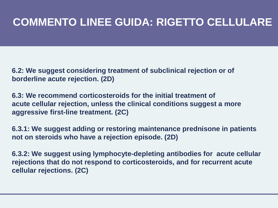#### **COMMENTO LINEE GUIDA: RIGETTO CELLULARE**

**6.2: We suggest considering treatment of subclinical rejection or of borderline acute rejection. (2D)**

**6.3: We recommend corticosteroids for the initial treatment of acute cellular rejection, unless the clinical conditions suggest a more aggressive first-line treatment. (2C)**

**6.3.1: We suggest adding or restoring maintenance prednisone in patients not on steroids who have a rejection episode. (2D)**

**6.3.2: We suggest using lymphocyte-depleting antibodies for acute cellular rejections that do not respond to corticosteroids, and for recurrent acute cellular rejections. (2C)**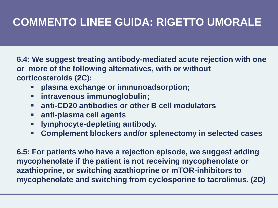# **COMMENTO LINEE GUIDA: RIGETTO UMORALE**

**6.4: We suggest treating antibody-mediated acute rejection with one or more of the following alternatives, with or without corticosteroids (2C):**

- **plasma exchange or immunoadsorption;**
- **intravenous immunoglobulin;**
- **anti-CD20 antibodies or other B cell modulators**
- **anti-plasma cell agents**
- **lymphocyte-depleting antibody.**
- **Complement blockers and/or splenectomy in selected cases**

**6.5: For patients who have a rejection episode, we suggest adding mycophenolate if the patient is not receiving mycophenolate or azathioprine, or switching azathioprine or mTOR-inhibitors to mycophenolate and switching from cyclosporine to tacrolimus. (2D)**